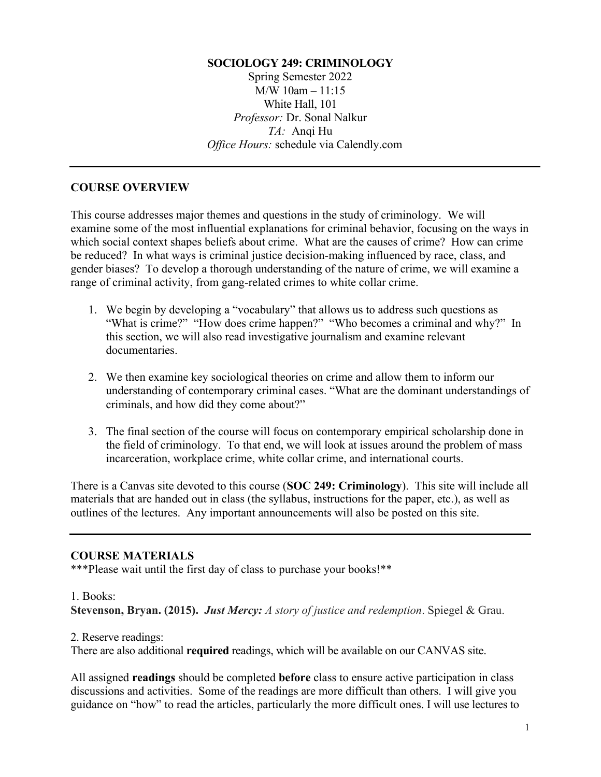#### **SOCIOLOGY 249: CRIMINOLOGY**

Spring Semester 2022 M/W 10am – 11:15 White Hall, 101 *Professor:* Dr. Sonal Nalkur *TA:* Anqi Hu *Office Hours:* schedule via Calendly.com

#### **COURSE OVERVIEW**

This course addresses major themes and questions in the study of criminology. We will examine some of the most influential explanations for criminal behavior, focusing on the ways in which social context shapes beliefs about crime. What are the causes of crime? How can crime be reduced? In what ways is criminal justice decision-making influenced by race, class, and gender biases? To develop a thorough understanding of the nature of crime, we will examine a range of criminal activity, from gang-related crimes to white collar crime.

- 1. We begin by developing a "vocabulary" that allows us to address such questions as "What is crime?" "How does crime happen?" "Who becomes a criminal and why?" In this section, we will also read investigative journalism and examine relevant documentaries.
- 2. We then examine key sociological theories on crime and allow them to inform our understanding of contemporary criminal cases. "What are the dominant understandings of criminals, and how did they come about?"
- 3. The final section of the course will focus on contemporary empirical scholarship done in the field of criminology. To that end, we will look at issues around the problem of mass incarceration, workplace crime, white collar crime, and international courts.

There is a Canvas site devoted to this course (**SOC 249: Criminology**). This site will include all materials that are handed out in class (the syllabus, instructions for the paper, etc.), as well as outlines of the lectures. Any important announcements will also be posted on this site.

#### **COURSE MATERIALS**

\*\*\*Please wait until the first day of class to purchase your books!\*\*

#### 1. Books:

**Stevenson, Bryan. (2015).** *Just Mercy: A story of justice and redemption*. Spiegel & Grau.

#### 2. Reserve readings:

There are also additional **required** readings, which will be available on our CANVAS site.

All assigned **readings** should be completed **before** class to ensure active participation in class discussions and activities. Some of the readings are more difficult than others. I will give you guidance on "how" to read the articles, particularly the more difficult ones. I will use lectures to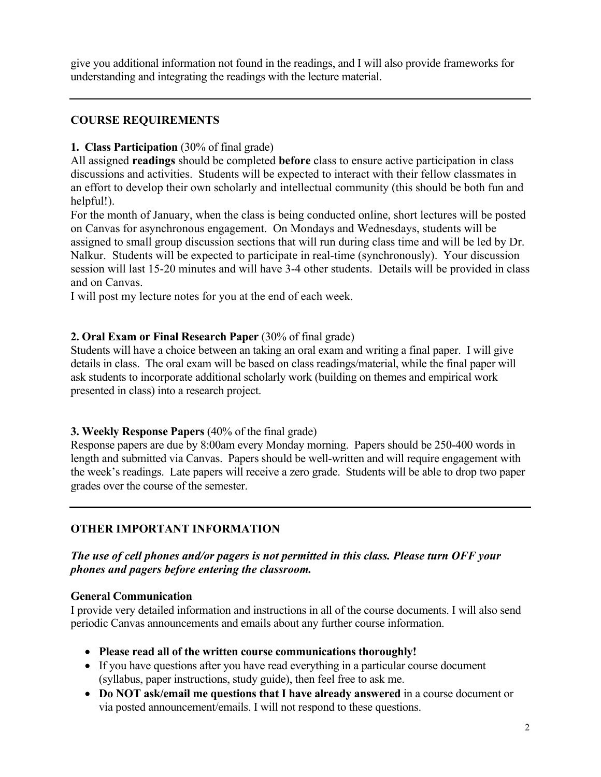give you additional information not found in the readings, and I will also provide frameworks for understanding and integrating the readings with the lecture material.

#### **COURSE REQUIREMENTS**

#### **1. Class Participation** (30% of final grade)

All assigned **readings** should be completed **before** class to ensure active participation in class discussions and activities. Students will be expected to interact with their fellow classmates in an effort to develop their own scholarly and intellectual community (this should be both fun and helpful!).

For the month of January, when the class is being conducted online, short lectures will be posted on Canvas for asynchronous engagement. On Mondays and Wednesdays, students will be assigned to small group discussion sections that will run during class time and will be led by Dr. Nalkur. Students will be expected to participate in real-time (synchronously). Your discussion session will last 15-20 minutes and will have 3-4 other students. Details will be provided in class and on Canvas.

I will post my lecture notes for you at the end of each week.

#### **2. Oral Exam or Final Research Paper** (30% of final grade)

Students will have a choice between an taking an oral exam and writing a final paper. I will give details in class. The oral exam will be based on class readings/material, while the final paper will ask students to incorporate additional scholarly work (building on themes and empirical work presented in class) into a research project.

#### **3. Weekly Response Papers** (40% of the final grade)

Response papers are due by 8:00am every Monday morning. Papers should be 250-400 words in length and submitted via Canvas. Papers should be well-written and will require engagement with the week's readings. Late papers will receive a zero grade. Students will be able to drop two paper grades over the course of the semester.

### **OTHER IMPORTANT INFORMATION**

#### *The use of cell phones and/or pagers is not permitted in this class. Please turn OFF your phones and pagers before entering the classroom.*

#### **General Communication**

I provide very detailed information and instructions in all of the course documents. I will also send periodic Canvas announcements and emails about any further course information.

- **Please read all of the written course communications thoroughly!**
- If you have questions after you have read everything in a particular course document (syllabus, paper instructions, study guide), then feel free to ask me.
- **Do NOT ask/email me questions that I have already answered** in a course document or via posted announcement/emails. I will not respond to these questions.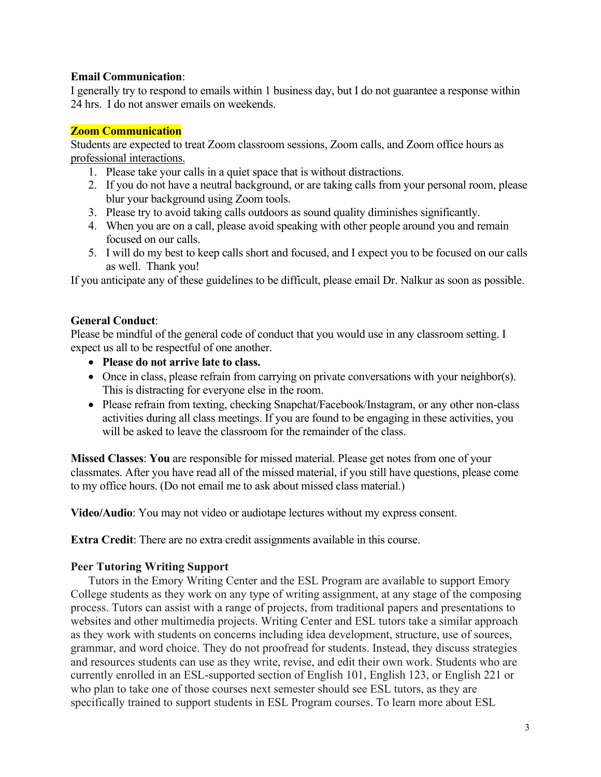#### **Email Communication**:

I generally try to respond to emails within 1 business day, but I do not guarantee a response within 24 hrs. I do not answer emails on weekends.

#### **Zoom Communication**

Students are expected to treat Zoom classroom sessions, Zoom calls, and Zoom office hours as professional interactions.

- 1. Please take your calls in a quiet space that is without distractions.
- 2. If you do not have a neutral background, or are taking calls from your personal room, please blur your background using Zoom tools.
- 3. Please try to avoid taking calls outdoors as sound quality diminishes significantly.
- 4. When you are on a call, please avoid speaking with other people around you and remain focused on our calls.
- 5. I will do my best to keep calls short and focused, and I expect you to be focused on our calls as well. Thank you!

If you anticipate any of these guidelines to be difficult, please email Dr. Nalkur as soon as possible.

#### **General Conduct**:

Please be mindful of the general code of conduct that you would use in any classroom setting. I expect us all to be respectful of one another.

- **Please do not arrive late to class.**
- Once in class, please refrain from carrying on private conversations with your neighbor(s). This is distracting for everyone else in the room.
- Please refrain from texting, checking Snapchat/Facebook/Instagram, or any other non-class activities during all class meetings. If you are found to be engaging in these activities, you will be asked to leave the classroom for the remainder of the class.

**Missed Classes**: **You** are responsible for missed material. Please get notes from one of your classmates. After you have read all of the missed material, if you still have questions, please come to my office hours. (Do not email me to ask about missed class material.)

**Video/Audio**: You may not video or audiotape lectures without my express consent.

**Extra Credit**: There are no extra credit assignments available in this course.

#### **Peer Tutoring Writing Support**

Tutors in the Emory Writing Center and the ESL Program are available to support Emory College students as they work on any type of writing assignment, at any stage of the composing process. Tutors can assist with a range of projects, from traditional papers and presentations to websites and other multimedia projects. Writing Center and ESL tutors take a similar approach as they work with students on concerns including idea development, structure, use of sources, grammar, and word choice. They do not proofread for students. Instead, they discuss strategies and resources students can use as they write, revise, and edit their own work. Students who are currently enrolled in an ESL-supported section of English 101, English 123, or English 221 or who plan to take one of those courses next semester should see ESL tutors, as they are specifically trained to support students in ESL Program courses. To learn more about ESL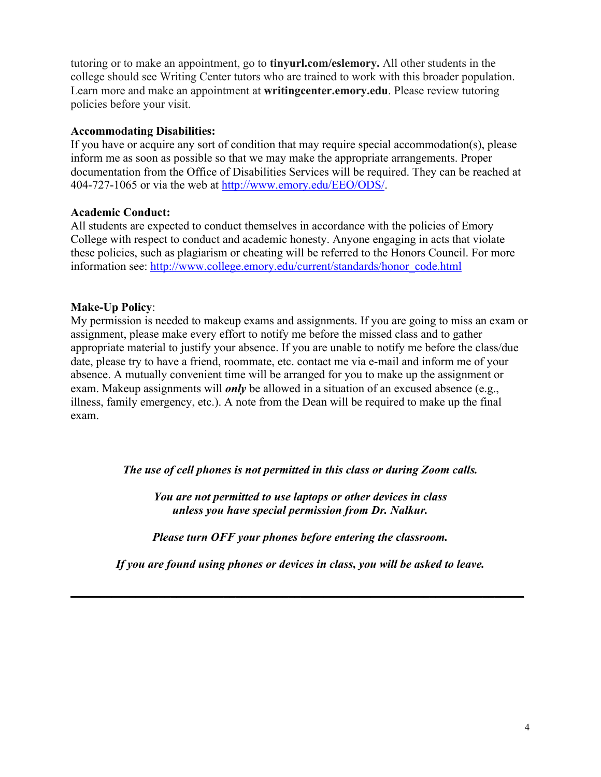tutoring or to make an appointment, go to **tinyurl.com/eslemory.** All other students in the college should see Writing Center tutors who are trained to work with this broader population. Learn more and make an appointment at **writingcenter.emory.edu**. Please review tutoring policies before your visit.

#### **Accommodating Disabilities:**

If you have or acquire any sort of condition that may require special accommodation(s), please inform me as soon as possible so that we may make the appropriate arrangements. Proper documentation from the Office of Disabilities Services will be required. They can be reached at 404-727-1065 or via the web at http://www.emory.edu/EEO/ODS/.

#### **Academic Conduct:**

All students are expected to conduct themselves in accordance with the policies of Emory College with respect to conduct and academic honesty. Anyone engaging in acts that violate these policies, such as plagiarism or cheating will be referred to the Honors Council. For more information see: http://www.college.emory.edu/current/standards/honor\_code.html

#### **Make-Up Policy**:

My permission is needed to makeup exams and assignments. If you are going to miss an exam or assignment, please make every effort to notify me before the missed class and to gather appropriate material to justify your absence. If you are unable to notify me before the class/due date, please try to have a friend, roommate, etc. contact me via e-mail and inform me of your absence. A mutually convenient time will be arranged for you to make up the assignment or exam. Makeup assignments will *only* be allowed in a situation of an excused absence (e.g., illness, family emergency, etc.). A note from the Dean will be required to make up the final exam.

*The use of cell phones is not permitted in this class or during Zoom calls.*

*You are not permitted to use laptops or other devices in class unless you have special permission from Dr. Nalkur.*

*Please turn OFF your phones before entering the classroom.*

*If you are found using phones or devices in class, you will be asked to leave.*

\_\_\_\_\_\_\_\_\_\_\_\_\_\_\_\_\_\_\_\_\_\_\_\_\_\_\_\_\_\_\_\_\_\_\_\_\_\_\_\_\_\_\_\_\_\_\_\_\_\_\_\_\_\_\_\_\_\_\_\_\_\_\_\_\_\_\_\_\_\_\_\_\_\_\_\_\_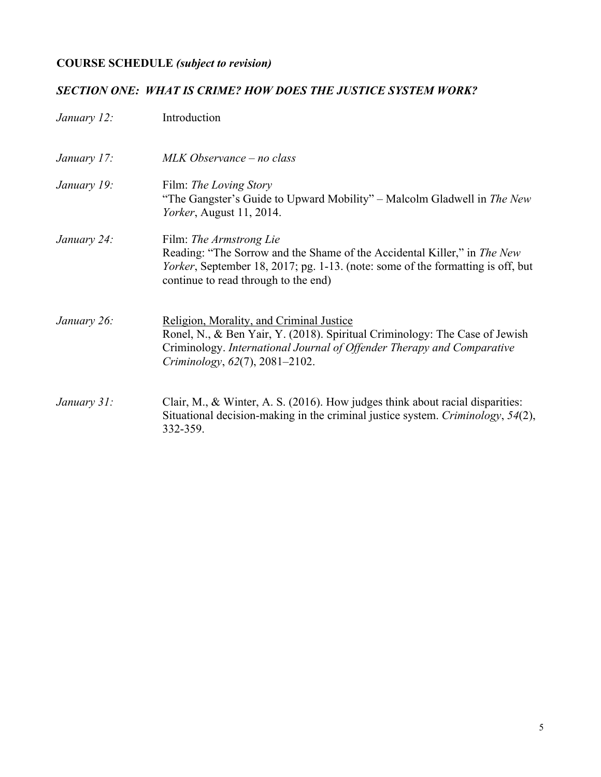# **COURSE SCHEDULE** *(subject to revision)*

## *SECTION ONE: WHAT IS CRIME? HOW DOES THE JUSTICE SYSTEM WORK?*

| January 12: | Introduction                                                                                                                                                                                                                        |
|-------------|-------------------------------------------------------------------------------------------------------------------------------------------------------------------------------------------------------------------------------------|
| January 17: | MLK Observance – no class                                                                                                                                                                                                           |
| January 19: | Film: <i>The Loving Story</i><br>"The Gangster's Guide to Upward Mobility" – Malcolm Gladwell in <i>The New</i><br><i>Yorker</i> , August 11, 2014.                                                                                 |
| January 24: | Film: The Armstrong Lie<br>Reading: "The Sorrow and the Shame of the Accidental Killer," in The New<br>Yorker, September 18, 2017; pg. 1-13. (note: some of the formatting is off, but<br>continue to read through to the end)      |
| January 26: | Religion, Morality, and Criminal Justice<br>Ronel, N., & Ben Yair, Y. (2018). Spiritual Criminology: The Case of Jewish<br>Criminology. International Journal of Offender Therapy and Comparative<br>Criminology, 62(7), 2081–2102. |
| January 31: | Clair, M., & Winter, A. S. (2016). How judges think about racial disparities:<br>Situational decision-making in the criminal justice system. Criminology, 54(2),<br>332-359.                                                        |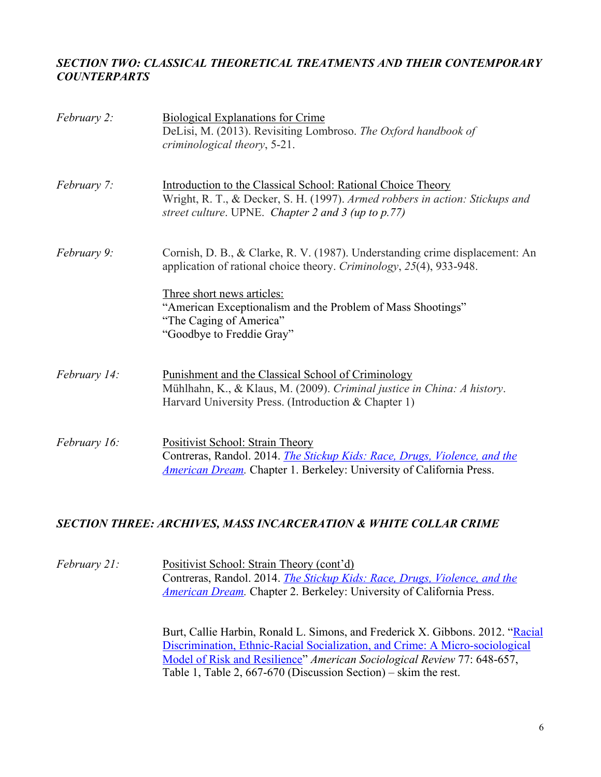#### *SECTION TWO: CLASSICAL THEORETICAL TREATMENTS AND THEIR CONTEMPORARY COUNTERPARTS*

| February 2:  | <b>Biological Explanations for Crime</b><br>DeLisi, M. (2013). Revisiting Lombroso. The Oxford handbook of<br>criminological theory, 5-21.                                                                                                                                                               |
|--------------|----------------------------------------------------------------------------------------------------------------------------------------------------------------------------------------------------------------------------------------------------------------------------------------------------------|
| February 7:  | Introduction to the Classical School: Rational Choice Theory<br>Wright, R. T., & Decker, S. H. (1997). Armed robbers in action: Stickups and<br>street culture. UPNE. Chapter 2 and 3 (up to $p.77$ )                                                                                                    |
| February 9:  | Cornish, D. B., & Clarke, R. V. (1987). Understanding crime displacement: An<br>application of rational choice theory. Criminology, 25(4), 933-948.<br>Three short news articles:<br>"American Exceptionalism and the Problem of Mass Shootings"<br>"The Caging of America"<br>"Goodbye to Freddie Gray" |
| February 14: | <u>Punishment and the Classical School of Criminology</u><br>Mühlhahn, K., & Klaus, M. (2009). Criminal justice in China: A history.<br>Harvard University Press. (Introduction & Chapter 1)                                                                                                             |
| February 16: | <b>Positivist School: Strain Theory</b><br>Contreras, Randol. 2014. <i>The Stickup Kids: Race, Drugs, Violence, and the</i><br><b>American Dream.</b> Chapter 1. Berkeley: University of California Press.                                                                                               |

#### *SECTION THREE: ARCHIVES, MASS INCARCERATION & WHITE COLLAR CRIME*

*February 21:* Positivist School: Strain Theory (cont'd) Contreras, Randol. 2014. *The Stickup Kids: Race, Drugs, Violence, and the American Dream.* Chapter 2. Berkeley: University of California Press.

> Burt, Callie Harbin, Ronald L. Simons, and Frederick X. Gibbons. 2012. "Racial Discrimination, Ethnic-Racial Socialization, and Crime: A Micro-sociological Model of Risk and Resilience" *American Sociological Review* 77: 648-657, Table 1, Table 2, 667-670 (Discussion Section) – skim the rest.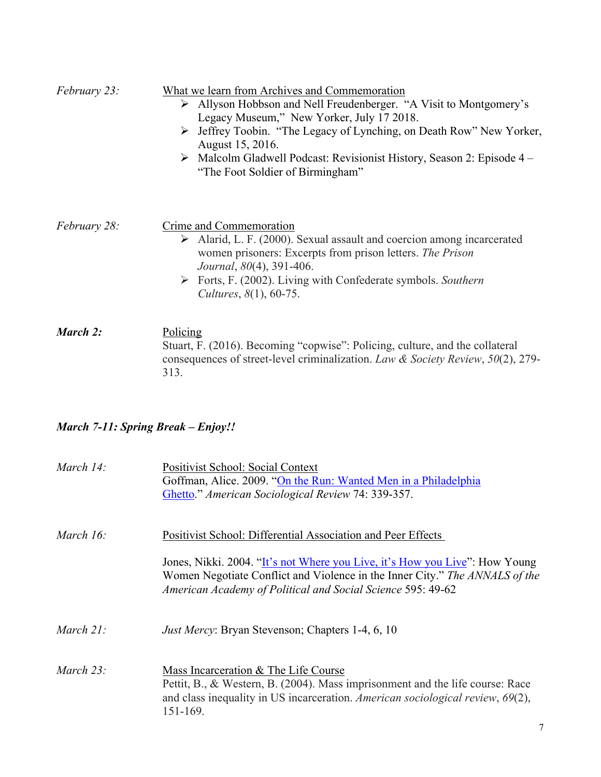| <i>February 23:</i> | What we learn from Archives and Commemoration<br>> Allyson Hobbson and Nell Freudenberger. "A Visit to Montgomery's<br>Legacy Museum," New Yorker, July 17 2018.<br>> Jeffrey Toobin. "The Legacy of Lynching, on Death Row" New Yorker,<br>August 15, 2016.<br>$\triangleright$ Malcolm Gladwell Podcast: Revisionist History, Season 2: Episode 4 –<br>"The Foot Soldier of Birmingham" |
|---------------------|-------------------------------------------------------------------------------------------------------------------------------------------------------------------------------------------------------------------------------------------------------------------------------------------------------------------------------------------------------------------------------------------|
| <i>February 28:</i> | Crime and Commemoration<br>$\triangleright$ Alarid, L. F. (2000). Sexual assault and coercion among incarcerated<br>women prisoners: Excerpts from prison letters. The Prison<br>Journal, 80(4), 391-406.<br>$\triangleright$ Forts, F. (2002). Living with Confederate symbols. Southern<br>Cultures, 8(1), 60-75.                                                                       |
| March 2:            | <b>Policing</b><br>Stuart, F. (2016). Becoming "copwise": Policing, culture, and the collateral<br>consequences of street-level criminalization. Law & Society Review, $50(2)$ , 279-<br>313.                                                                                                                                                                                             |

# *March 7-11: Spring Break – Enjoy!!*

| March $14$ : | <b>Positivist School: Social Context</b><br>Goffman, Alice. 2009. "On the Run: Wanted Men in a Philadelphia<br>Ghetto." American Sociological Review 74: 339-357.                                                         |
|--------------|---------------------------------------------------------------------------------------------------------------------------------------------------------------------------------------------------------------------------|
| March 16:    | Positivist School: Differential Association and Peer Effects                                                                                                                                                              |
|              | Jones, Nikki. 2004. "It's not Where you Live, it's How you Live": How Young<br>Women Negotiate Conflict and Violence in the Inner City." The ANNALS of the<br>American Academy of Political and Social Science 595: 49-62 |
| March $21$ : | <i>Just Mercy:</i> Bryan Stevenson; Chapters 1-4, 6, 10                                                                                                                                                                   |
| March $23$ : | Mass Incarceration & The Life Course<br>Pettit, B., & Western, B. (2004). Mass imprisonment and the life course: Race<br>and class inequality in US incarceration. American sociological review, 69(2),<br>151-169.       |